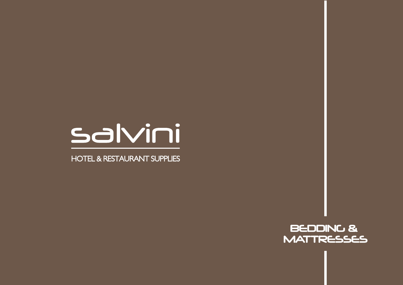

**HOTEL & RESTAURANT SUPPLIES** 

BEDDING & **MATTRESSES**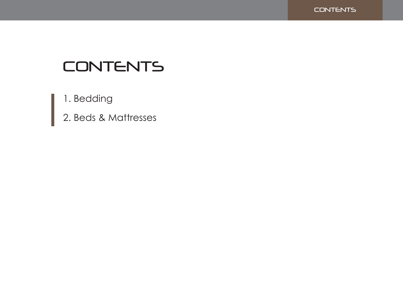

# CONTENTS

1. Bedding

2. Beds & Mattresses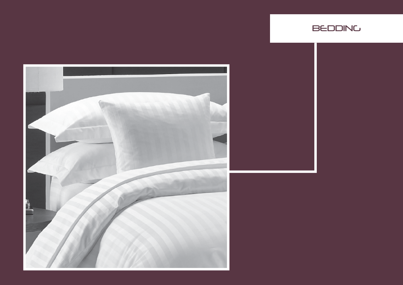

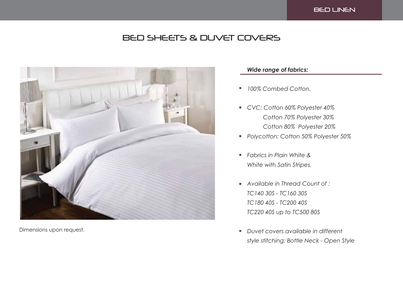# BED SHEETS & DUVET COVERS



Dimensions upon request.

### *Wide range of fabrics:*

- *100% Combed Cotton.*  $\overline{\phantom{a}}$
- *CVC: Cotton 60% Polyester 40% Cotton 70% Polyester 30% Cotton 80% Polyester 20%*
- *Polycotton: Cotton 50% Polyester 50%*
- *Fabrics in Plain White &*  $\blacksquare$ *White with Satin Stripes.*
- *Available in Thread Count of : TC140 30S - TC160 30S TC180 40S - TC200 40S TC220 40S up to TC500 80S*
- *Duvet covers available in different*  $\blacksquare$ *style stitching: Bottle Neck - Open Style*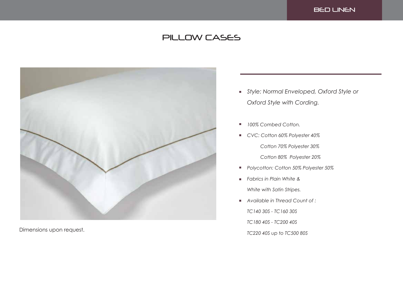### BED LINEN

# PILLOW CASES



- *Style: Normal Enveloped, Oxford Style or Oxford Style with Cording.*
- *100% Combed Cotton.*  $\blacksquare$
- *CVC: Cotton 60% Polyester 40% Cotton 70% Polyester 30%*

 *Cotton 80% Polyester 20%*

- *Polycotton: Cotton 50% Polyester 50%*  $\overline{\phantom{a}}$
- *Fabrics in Plain White &*  $\mathbf{r}$

*White with Satin Stripes.*

*Available in Thread Count of : TC140 30S - TC160 30S TC180 40S - TC200 40S* Dimensions upon request.<br>TC220 40S up to TC500 80S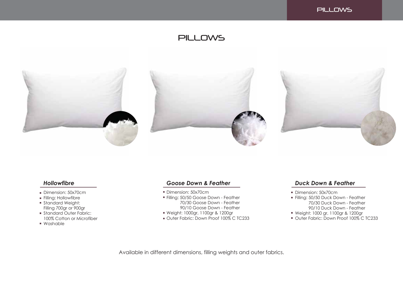

### **PILLOWS**



- Dimension: 50x70cm
- Filling: Hollowfibre
- **Standard Weight:** Filling 700gr or 900gr
- Standard Outer Fabric: 100% Cotton or Microfiber
- Washable

### *Hollowfibre Goose Down & Feather*

- Dimension: 50x70cm
- Filling: 50/50 Goose Down Feather 70/30 Goose Down - Feather 90/10 Goose Down - Feather
- Weight: 1000gr, 1100gr & 1200gr
- Outer Fabric: Down Proof 100% C TC233

### *Duck Down & Feather*

- Dimension: 50x70cm
- Filling: 50/50 Duck Down Feather 70/30 Duck Down - Feather 90/10 Duck Down - Feather
- Weight: 1000 gr, 1100gr & 1200gr
- Outer Fabric: Down Proof 100% C TC233

Available in different dimensions, filling weights and outer fabrics.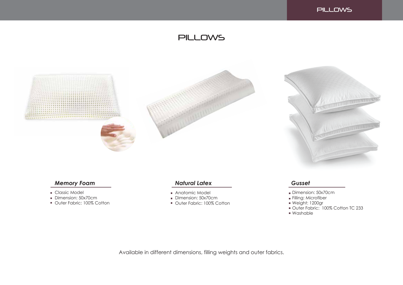

# PILLOWS



### *Memory Foam*

- **Classic Model**
- Dimension: 50x70cm
- **Outer Fabric: 100% Cotton**

### *Natural Latex Gusset*

- Anatomic Model
- Dimension: 50x70cm
- **Outer Fabric: 100% Cotton**

- Dimension: 50x70cm
- Filling: Microfiber
- Weight: 1200gr
- Outer Fabric: 100% Cotton TC 233
- Washable

Available in different dimensions, filling weights and outer fabrics.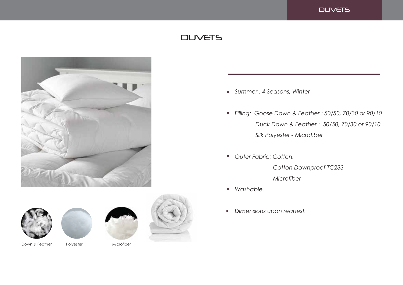### **DUVETS**

# **DUVETS**









Down & Feather Polyester Microfiber



- *Summer , 4 Seasons, Winter*
- *Filling: Goose Down & Feather : 50/50, 70/30 or 90/10 Duck Down & Feather : 50/50, 70/30 or 90/10 Silk Polyester - Microfiber*
- *Outer Fabric: Cotton,*

 *Cotton Downproof TC233 Microfiber*

- *Washable.*
- *Dimensions upon request.*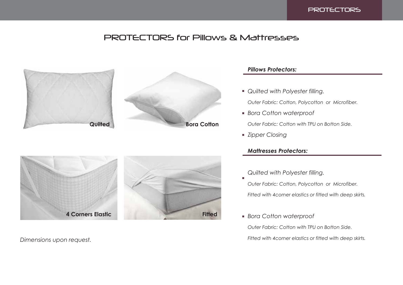

## PROTECTORS for Pillows & Mattresses





### *Pillows Protectors:*

*Quilted with Polyester filling.*

*Outer Fabric: Cotton, Polycotton or Microfiber.*

*Bora Cotton waterproof*

*Outer Fabric: Cotton with TPU on Botton Side.*

*Zipper Closing*

### *Mattresses Protectors:*

*Quilted with Polyester filling.*

*Outer Fabric: Cotton, Polycotton or Microfiber. Fitted with 4corner elastics or fitted with deep skirts.*

*Bora Cotton waterproof*

*Outer Fabric: Cotton with TPU on Botton Side.*

*Dimensions upon request. Fitted with 4corner elastics or fitted with deep skirts.*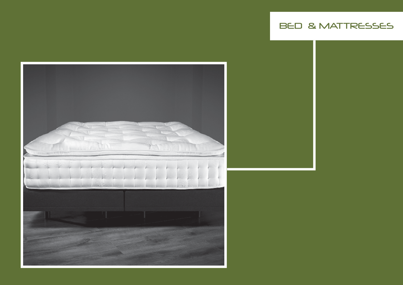# BED & MATTRESSES

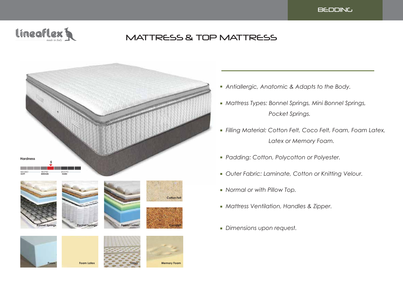



# MATTRESS & TOP MATTRESS



**Foam Foam Latex Latex Memory Foam**

- *Antiallergic, Anatomic & Adapts to the Body.*
- *Mattress Types: Bonnel Springs, Mini Bonnel Springs, Pocket Springs.*
- *Filling Material: Cotton Felt, Coco Felt, Foam, Foam Latex, Latex or Memory Foam.*
- *Padding: Cotton, Polycotton or Polyester.*
- *Outer Fabric: Laminate, Cotton or Knitting Velour.*
- *Normal or with Pillow Top.*
- *Mattress Ventilation, Handles & Zipper.*
- *Dimensions upon request.*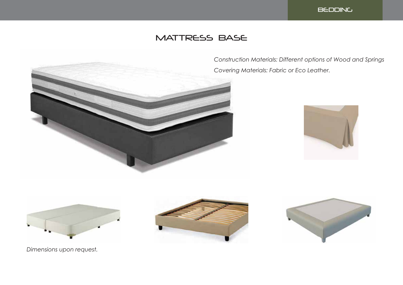

# MATTRESS BASE



*Construction Materials: Different options of Wood and Springs Covering Materials: Fabric or Eco Leather.*









*Dimensions upon request.*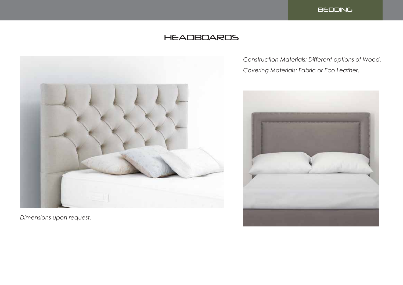

# **HEADBOARDS**



*Dimensions upon request.*

*Construction Materials: Different options of Wood. Covering Materials: Fabric or Eco Leather.*